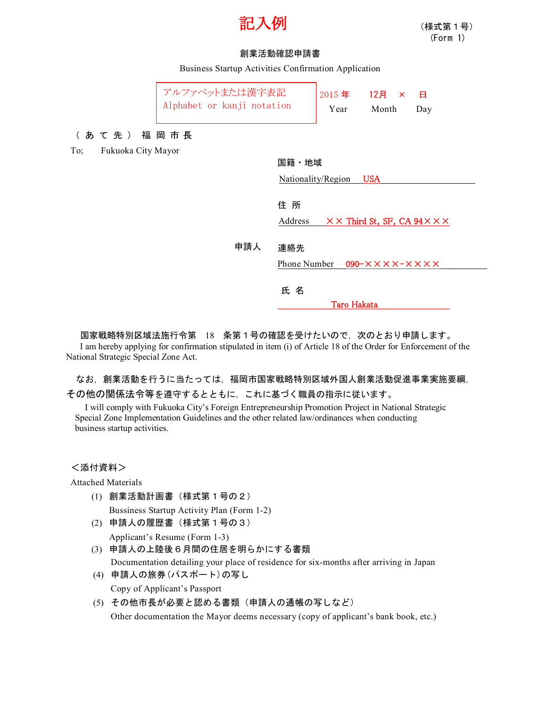

## 創業活動確認申請書

Business Startup Activities Confirmation Application

|                           | アルファベットまたは漢字表記<br>Alphabet or kanji notation |                    | 2015年<br>Year | $12$ 月 ×<br>Month                            | 日<br>Day                                           |
|---------------------------|----------------------------------------------|--------------------|---------------|----------------------------------------------|----------------------------------------------------|
| (あて先) 福岡市長                |                                              |                    |               |                                              |                                                    |
| Fukuoka City Mayor<br>To; |                                              |                    |               |                                              |                                                    |
|                           | 国籍・地域                                        |                    |               |                                              |                                                    |
|                           |                                              | Nationality/Region |               | <b>USA</b>                                   |                                                    |
|                           |                                              |                    |               |                                              |                                                    |
|                           |                                              | 住所                 |               |                                              |                                                    |
|                           |                                              | Address            |               |                                              | $\times$ X Third St, SF, CA 94 $\times$ X $\times$ |
|                           |                                              |                    |               |                                              |                                                    |
|                           | 申請人                                          | 連絡先                |               |                                              |                                                    |
|                           |                                              | Phone Number       |               | $090 - X \times X \times -X \times X \times$ |                                                    |
|                           |                                              |                    |               |                                              |                                                    |
|                           |                                              | 氏名                 |               |                                              |                                                    |
|                           |                                              |                    | Taro Hakata   |                                              |                                                    |

国家戦略特別区域法施行令第 18 条第1号の確認を受けたいので,次のとおり申請します。 I am hereby applying for confirmation stipulated in item (i) of Article 18 of the Order for Enforcement of the National Strategic Special Zone Act.

なお,創業活動を行うに当たっては,福岡市国家戦略特別区域外国人創業活動促進事業実施要綱, その他の関係法令等を遵守するとともに,これに基づく職員の指示に従います。

I will comply with Fukuoka City's Foreign Entrepreneurship Promotion Project in National Strategic Special Zone Implementation Guidelines and the other related law/ordinances when conducting business startup activities.

<添付資料>

Attached Materials

(1) 創業活動計画書(様式第1号の2)

Bussiness Startup Activity Plan (Form 1-2)

(2) 申請人の履歴書(様式第1号の3)

Applicant's Resume (Form 1-3)

- (3) 申請人の上陸後6月間の住居を明らかにする書類 Documentation detailing your place of residence for six-months after arriving in Japan
- (4) 申請人の旅券(パスポート)の写し Copy of Applicant's Passport
- (5) その他市長が必要と認める書類(申請人の通帳の写しなど)

Other documentation the Mayor deems necessary (copy of applicant's bank book, etc.)